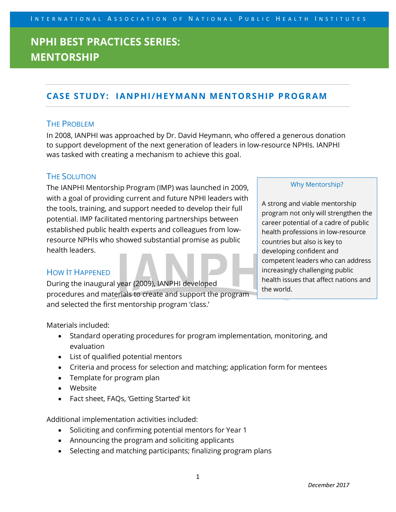### **CASE STUDY: IANPHI/HEYMANN MENTORSHIP PROGRAM**

#### THE PROBLEM

In 2008, IANPHI was approached by Dr. David Heymann, who offered a generous donation to support development of the next generation of leaders in low-resource NPHIs. IANPHI was tasked with creating a mechanism to achieve this goal.

#### THE SOLUTION

The IANPHI Mentorship Program (IMP) was launched in 2009, with a goal of providing current and future NPHI leaders with the tools, training, and support needed to develop their full potential. IMP facilitated mentoring partnerships between established public health experts and colleagues from lowresource NPHIs who showed substantial promise as public health leaders.

#### HOW IT HAPPENED

During the inaugural year (2009), IANPHI developed procedures and materials to create and support the program and selected the first mentorship program 'class.'

#### Why Mentorship?

A strong and viable mentorship program not only will strengthen the career potential of a cadre of public health professions in low-resource countries but also is key to developing confident and competent leaders who can address increasingly challenging public health issues that affect nations and the world.

Materials included:

- Standard operating procedures for program implementation, monitoring, and evaluation
- List of qualified potential mentors
- Criteria and process for selection and matching; application form for mentees
- Template for program plan
- Website
- Fact sheet, FAQs, 'Getting Started' kit

Additional implementation activities included:

- Soliciting and confirming potential mentors for Year 1
- Announcing the program and soliciting applicants
- Selecting and matching participants; finalizing program plans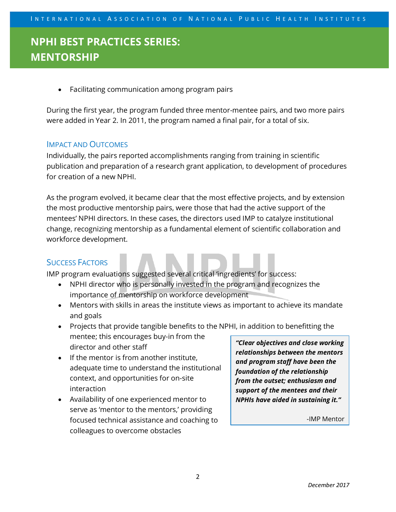• Facilitating communication among program pairs

During the first year, the program funded three mentor-mentee pairs, and two more pairs were added in Year 2. In 2011, the program named a final pair, for a total of six.

#### IMPACT AND OUTCOMES

Individually, the pairs reported accomplishments ranging from training in scientific publication and preparation of a research grant application, to development of procedures for creation of a new NPHI.

As the program evolved, it became clear that the most effective projects, and by extension the most productive mentorship pairs, were those that had the active support of the mentees' NPHI directors. In these cases, the directors used IMP to catalyze institutional change, recognizing mentorship as a fundamental element of scientific collaboration and workforce development.

### SUCCESS FACTORS

IMP program evaluations suggested several critical 'ingredients' for success:

- NPHI director who is personally invested in the program and recognizes the importance of mentorship on workforce development
- Mentors with skills in areas the institute views as important to achieve its mandate and goals
- Projects that provide tangible benefits to the NPHI, in addition to benefitting the mentee; this encourages buy-in from the director and other staff
- If the mentor is from another institute, adequate time to understand the institutional context, and opportunities for on-site interaction
- Availability of one experienced mentor to serve as 'mentor to the mentors,' providing focused technical assistance and coaching to colleagues to overcome obstacles

*"Clear objectives and close working relationships between the mentors and program staff have been the foundation of the relationship from the outset; enthusiasm and support of the mentees and their NPHIs have aided in sustaining it."*

-IMP Mentor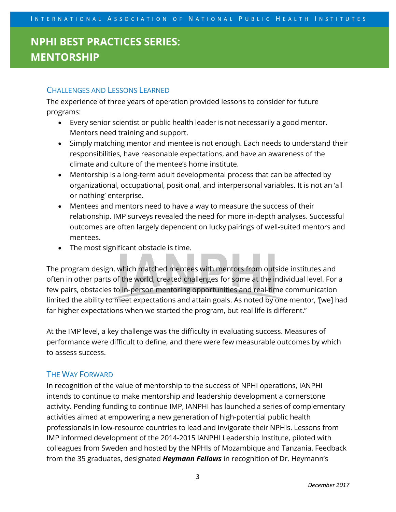### CHALLENGES AND LESSONS LEARNED

The experience of three years of operation provided lessons to consider for future programs:

- Every senior scientist or public health leader is not necessarily a good mentor. Mentors need training and support.
- Simply matching mentor and mentee is not enough. Each needs to understand their responsibilities, have reasonable expectations, and have an awareness of the climate and culture of the mentee's home institute.
- Mentorship is a long-term adult developmental process that can be affected by organizational, occupational, positional, and interpersonal variables. It is not an 'all or nothing' enterprise.
- Mentees and mentors need to have a way to measure the success of their relationship. IMP surveys revealed the need for more in-depth analyses. Successful outcomes are often largely dependent on lucky pairings of well-suited mentors and mentees.
- The most significant obstacle is time.

The program design, which matched mentees with mentors from outside institutes and often in other parts of the world, created challenges for some at the individual level. For a few pairs, obstacles to in-person mentoring opportunities and real-time communication limited the ability to meet expectations and attain goals. As noted by one mentor, '[we] had far higher expectations when we started the program, but real life is different."

At the IMP level, a key challenge was the difficulty in evaluating success. Measures of performance were difficult to define, and there were few measurable outcomes by which to assess success.

#### THE WAY FORWARD

In recognition of the value of mentorship to the success of NPHI operations, IANPHI intends to continue to make mentorship and leadership development a cornerstone activity. Pending funding to continue IMP, IANPHI has launched a series of complementary activities aimed at empowering a new generation of high-potential public health professionals in low-resource countries to lead and invigorate their NPHIs. Lessons from IMP informed development of the 2014-2015 IANPHI Leadership Institute, piloted with colleagues from Sweden and hosted by the NPHIs of Mozambique and Tanzania. Feedback from the 35 graduates, designated *Heymann Fellows* in recognition of Dr. Heymann's